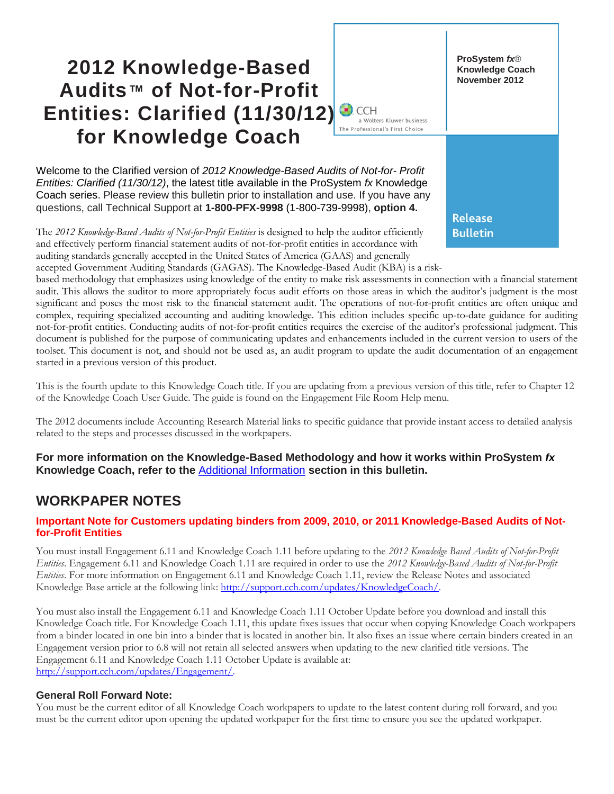# **2012 Knowledge-Based Audits™ of Not-for-Profit Entities: Clarified (11/30/12)**  The Professional's First Choice **for Knowledge Coach**

Welcome to the Clarified version of *2012 Knowledge-Based Audits of Not-for- Profit Entities: Clarified (11/30/12)*, the latest title available in the ProSystem *fx* Knowledge Coach series. Please review this bulletin prior to installation and use. If you have any questions, call Technical Support at **1-800-PFX-9998** (1-800-739-9998), **option 4.**

The *2012 Knowledge-Based Audits of Not-for-Profit Entities* is designed to help the auditor efficiently and effectively perform financial statement audits of not-for-profit entities in accordance with auditing standards generally accepted in the United States of America (GAAS) and generally accepted Government Auditing Standards (GAGAS). The Knowledge-Based Audit (KBA) is a risk-

based methodology that emphasizes using knowledge of the entity to make risk assessments in connection with a financial statement audit. This allows the auditor to more appropriately focus audit efforts on those areas in which the auditor's judgment is the most significant and poses the most risk to the financial statement audit. The operations of not-for-profit entities are often unique and complex, requiring specialized accounting and auditing knowledge. This edition includes specific up-to-date guidance for auditing not-for-profit entities. Conducting audits of not-for-profit entities requires the exercise of the auditor's professional judgment. This document is published for the purpose of communicating updates and enhancements included in the current version to users of the toolset. This document is not, and should not be used as, an audit program to update the audit documentation of an engagement started in a previous version of this product.

**ProSystem** *fx*® **Knowledge Coach November 2012**

**Release Bulletin** 

a Wolters Kluwer business

This is the fourth update to this Knowledge Coach title. If you are updating from a previous version of this title, refer to Chapter 12 of the Knowledge Coach User Guide. The guide is found on the Engagement File Room Help menu.

The 2012 documents include Accounting Research Material links to specific guidance that provide instant access to detailed analysis related to the steps and processes discussed in the workpapers.

**For more information on the Knowledge-Based Methodology and how it works within ProSystem** *fx* **Knowledge Coach, refer to the** [Additional Information](#page-2-0) **section in this bulletin.**

# **WORKPAPER NOTES**

#### **Important Note for Customers updating binders from 2009, 2010, or 2011 Knowledge-Based Audits of Notfor-Profit Entities**

You must install Engagement 6.11 and Knowledge Coach 1.11 before updating to the *2012 Knowledge Based Audits of Not-for-Profit Entities*. Engagement 6.11 and Knowledge Coach 1.11 are required in order to use the *2012 Knowledge-Based Audits of Not-for-Profit Entities*. For more information on Engagement 6.11 and Knowledge Coach 1.11, review the Release Notes and associated Knowledge Base article at the following link: [http://support.cch.com/updates/KnowledgeCoach/.](http://support.cch.com/updates/KnowledgeCoach/)

You must also install the Engagement 6.11 and Knowledge Coach 1.11 October Update before you download and install this Knowledge Coach title. For Knowledge Coach 1.11, this update fixes issues that occur when copying Knowledge Coach workpapers from a binder located in one bin into a binder that is located in another bin. It also fixes an issue where certain binders created in an Engagement version prior to 6.8 will not retain all selected answers when updating to the new clarified title versions. The Engagement 6.11 and Knowledge Coach 1.11 October Update is available at: [http://support.cch.com/updates/Engagement/.](http://support.cch.com/updates/Engagement/)

#### **General Roll Forward Note:**

You must be the current editor of all Knowledge Coach workpapers to update to the latest content during roll forward, and you must be the current editor upon opening the updated workpaper for the first time to ensure you see the updated workpaper.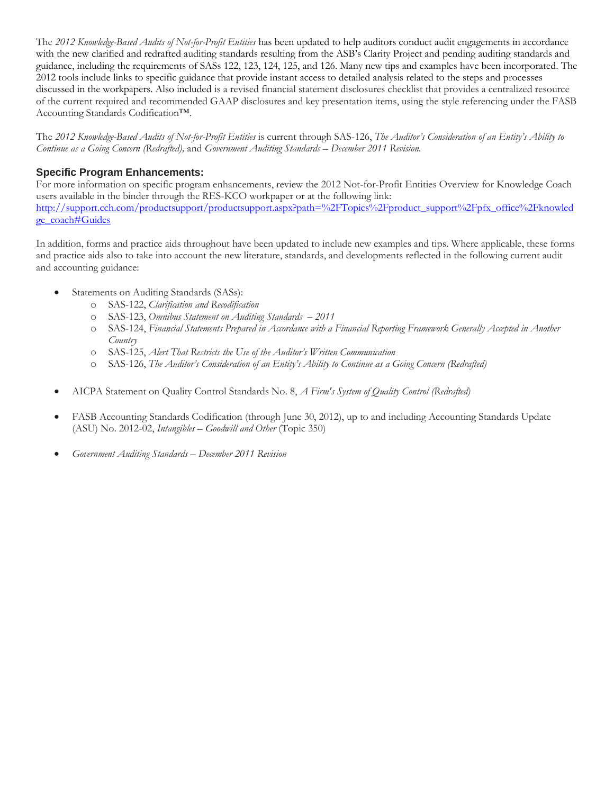The *2012 Knowledge-Based Audits of Not-for-Profit Entities* has been updated to help auditors conduct audit engagements in accordance with the new clarified and redrafted auditing standards resulting from the ASB's Clarity Project and pending auditing standards and guidance, including the requirements of SASs 122, 123, 124, 125, and 126. Many new tips and examples have been incorporated. The 2012 tools include links to specific guidance that provide instant access to detailed analysis related to the steps and processes discussed in the workpapers. Also included is a revised financial statement disclosures checklist that provides a centralized resource of the current required and recommended GAAP disclosures and key presentation items, using the style referencing under the FASB Accounting Standards Codification™.

The *2012 Knowledge-Based Audits of Not-for-Profit Entities* is current through SAS-126, *The Auditor's Consideration of an Entity's Ability to Continue as a Going Concern (Redrafted),* and *Government Auditing Standards* – *December 2011 Revision.*

#### **Specific Program Enhancements:**

For more information on specific program enhancements, review the 2012 Not-for-Profit Entities Overview for Knowledge Coach users available in the binder through the RES-KCO workpaper or at the following link: [http://support.cch.com/productsupport/productsupport.aspx?path=%2FTopics%2Fproduct\\_support%2Fpfx\\_office%2Fknowled](http://support.cch.com/productsupport/productsupport.aspx?path=%2FTopics%2Fproduct_support%2Fpfx_office%2Fknowledge_coach#Guides) [ge\\_coach#Guides](http://support.cch.com/productsupport/productsupport.aspx?path=%2FTopics%2Fproduct_support%2Fpfx_office%2Fknowledge_coach#Guides)

In addition, forms and practice aids throughout have been updated to include new examples and tips. Where applicable, these forms and practice aids also to take into account the new literature, standards, and developments reflected in the following current audit and accounting guidance:

- Statements on Auditing Standards (SASs):
	- o SAS-122, *Clarification and Recodification*
	- o SAS-123, *Omnibus Statement on Auditing Standards 2011*
	- o SAS-124, *Financial Statements Prepared in Accordance with a Financial Reporting Framework Generally Accepted in Another Country*
	- o SAS-125, *Alert That Restricts the Use of the Auditor's Written Communication*
	- o SAS-126, *The Auditor's Consideration of an Entity's Ability to Continue as a Going Concern (Redrafted)*
- AICPA Statement on Quality Control Standards No. 8, *A Firm's System of Quality Control (Redrafted)*
- FASB Accounting Standards Codification (through June 30, 2012), up to and including Accounting Standards Update (ASU) No. 2012-02, *Intangibles* – *Goodwill and Other* (Topic 350)
- *Government Auditing Standards December 2011 Revision*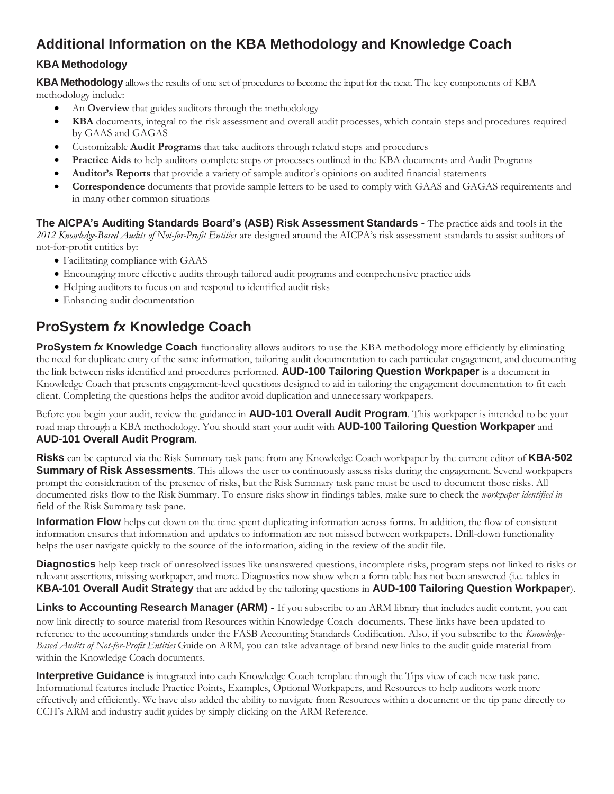# <span id="page-2-0"></span>**Additional Information on the KBA Methodology and Knowledge Coach**

### **KBA Methodology**

**KBA Methodology** allows the results of one set of procedures to become the input for the next. The key components of KBA methodology include:

- An **Overview** that guides auditors through the methodology
- **KBA** documents, integral to the risk assessment and overall audit processes, which contain steps and procedures required by GAAS and GAGAS
- Customizable **Audit Programs** that take auditors through related steps and procedures
- **Practice Aids** to help auditors complete steps or processes outlined in the KBA documents and Audit Programs
- **Auditor's Reports** that provide a variety of sample auditor's opinions on audited financial statements
- **Correspondence** documents that provide sample letters to be used to comply with GAAS and GAGAS requirements and in many other common situations

**The AICPA's Auditing Standards Board's (ASB) Risk Assessment Standards -** The practice aids and tools in the *2012 Knowledge-Based Audits of Not-for-Profit Entities* are designed around the AICPA's risk assessment standards to assist auditors of not-for-profit entities by:

- Facilitating compliance with GAAS
- Encouraging more effective audits through tailored audit programs and comprehensive practice aids
- Helping auditors to focus on and respond to identified audit risks
- Enhancing audit documentation

# **ProSystem** *fx* **Knowledge Coach**

**ProSystem** *fx* **Knowledge Coach** functionality allows auditors to use the KBA methodology more efficiently by eliminating the need for duplicate entry of the same information, tailoring audit documentation to each particular engagement, and documenting the link between risks identified and procedures performed. **AUD-100 Tailoring Question Workpaper** is a document in Knowledge Coach that presents engagement-level questions designed to aid in tailoring the engagement documentation to fit each client. Completing the questions helps the auditor avoid duplication and unnecessary workpapers.

Before you begin your audit, review the guidance in **AUD-101 Overall Audit Program**. This workpaper is intended to be your road map through a KBA methodology. You should start your audit with **AUD-100 Tailoring Question Workpaper** and **AUD-101 Overall Audit Program**.

**Risks** can be captured via the Risk Summary task pane from any Knowledge Coach workpaper by the current editor of **KBA-502 Summary of Risk Assessments**. This allows the user to continuously assess risks during the engagement. Several workpapers prompt the consideration of the presence of risks, but the Risk Summary task pane must be used to document those risks. All documented risks flow to the Risk Summary. To ensure risks show in findings tables, make sure to check the *workpaper identified in* field of the Risk Summary task pane.

**Information Flow** helps cut down on the time spent duplicating information across forms. In addition, the flow of consistent information ensures that information and updates to information are not missed between workpapers. Drill-down functionality helps the user navigate quickly to the source of the information, aiding in the review of the audit file.

**Diagnostics** help keep track of unresolved issues like unanswered questions, incomplete risks, program steps not linked to risks or relevant assertions, missing workpaper, and more. Diagnostics now show when a form table has not been answered (i.e. tables in **KBA-101 Overall Audit Strategy** that are added by the tailoring questions in **AUD-100 Tailoring Question Workpaper**).

Links to Accounting Research Manager (ARM) - If you subscribe to an ARM library that includes audit content, you can now link directly to source material from Resources within Knowledge Coach documents. These links have been updated to reference to the accounting standards under the FASB Accounting Standards Codification. Also, if you subscribe to the *Knowledge-Based Audits of Not-for-Profit Entities* Guide on ARM, you can take advantage of brand new links to the audit guide material from within the Knowledge Coach documents.

**Interpretive Guidance** is integrated into each Knowledge Coach template through the Tips view of each new task pane. Informational features include Practice Points, Examples, Optional Workpapers, and Resources to help auditors work more effectively and efficiently. We have also added the ability to navigate from Resources within a document or the tip pane directly to CCH's ARM and industry audit guides by simply clicking on the ARM Reference.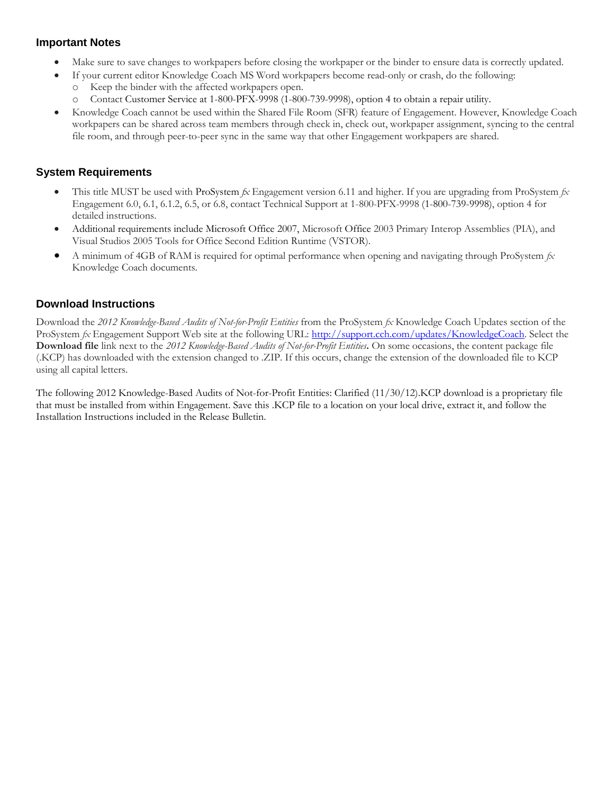### **Important Notes**

- Make sure to save changes to workpapers before closing the workpaper or the binder to ensure data is correctly updated.
- If your current editor Knowledge Coach MS Word workpapers become read-only or crash, do the following:
- Keep the binder with the affected workpapers open.
	- o Contact Customer Service at 1-800-PFX-9998 (1-800-739-9998), option 4 to obtain a repair utility.
- Knowledge Coach cannot be used within the Shared File Room (SFR) feature of Engagement. However, Knowledge Coach workpapers can be shared across team members through check in, check out, workpaper assignment, syncing to the central file room, and through peer-to-peer sync in the same way that other Engagement workpapers are shared.

### **System Requirements**

- This title MUST be used with ProSystem *fx* Engagement version 6.11 and higher. If you are upgrading from ProSystem *fx*  Engagement 6.0, 6.1, 6.1.2, 6.5, or 6.8, contact Technical Support at 1-800-PFX-9998 (1-800-739-9998), option 4 for detailed instructions.
- Additional requirements include Microsoft Office 2007, Microsoft Office 2003 Primary Interop Assemblies (PIA), and Visual Studios 2005 Tools for Office Second Edition Runtime (VSTOR).
- A minimum of 4GB of RAM is required for optimal performance when opening and navigating through ProSystem *fx*  Knowledge Coach documents.

### **Download Instructions**

Download the *2012 Knowledge-Based Audits of Not-for-Profit Entities* from the ProSystem *fx* Knowledge Coach Updates section of the ProSystem *fx* Engagement Support Web site at the following URL: [http://support.cch.com/updates/KnowledgeCoach.](http://support.cch.com/updates/KnowledgeCoach) Select the **Download file** link next to the *2012 Knowledge-Based Audits of Not-for-Profit Entities***.** On some occasions, the content package file (.KCP) has downloaded with the extension changed to .ZIP. If this occurs, change the extension of the downloaded file to KCP using all capital letters.

The following 2012 Knowledge-Based Audits of Not-for-Profit Entities: Clarified (11/30/12).KCP download is a proprietary file that must be installed from within Engagement. Save this .KCP file to a location on your local drive, extract it, and follow the Installation Instructions included in the Release Bulletin.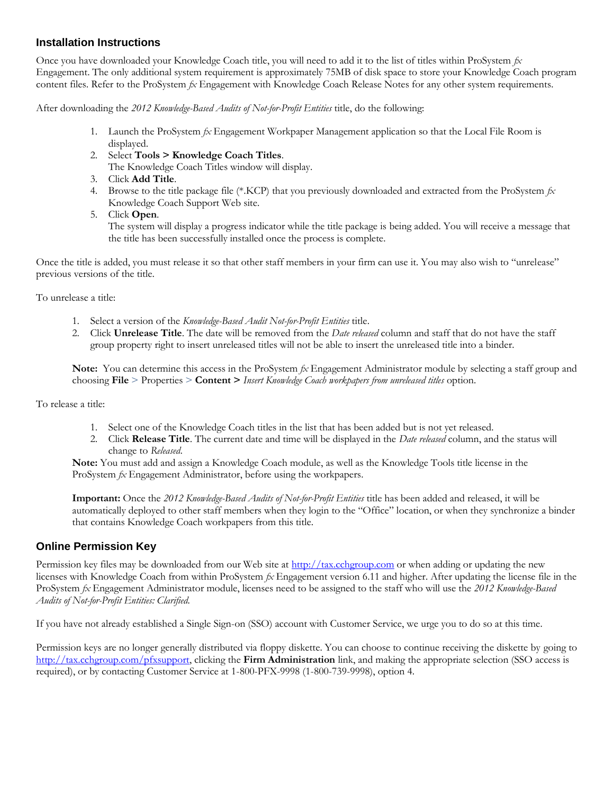#### **Installation Instructions**

Once you have downloaded your Knowledge Coach title, you will need to add it to the list of titles within ProSystem *fx*  Engagement. The only additional system requirement is approximately 75MB of disk space to store your Knowledge Coach program content files. Refer to the ProSystem *fx* Engagement with Knowledge Coach Release Notes for any other system requirements.

After downloading the *2012 Knowledge-Based Audits of Not-for-Profit Entities* title, do the following:

- 1. Launch the ProSystem *fx* Engagement Workpaper Management application so that the Local File Room is displayed.
- 2. Select **Tools > Knowledge Coach Titles**.

The Knowledge Coach Titles window will display.

- 3. Click **Add Title**.
- 4. Browse to the title package file (\*.KCP) that you previously downloaded and extracted from the ProSystem *fx*  Knowledge Coach Support Web site.
- 5. Click **Open**.

The system will display a progress indicator while the title package is being added. You will receive a message that the title has been successfully installed once the process is complete.

Once the title is added, you must release it so that other staff members in your firm can use it. You may also wish to "unrelease" previous versions of the title.

To unrelease a title:

- 1. Select a version of the *Knowledge-Based Audit Not-for-Profit Entities* title.
- 2. Click **Unrelease Title**. The date will be removed from the *Date released* column and staff that do not have the staff group property right to insert unreleased titles will not be able to insert the unreleased title into a binder.

**Note:** You can determine this access in the ProSystem *fx* Engagement Administrator module by selecting a staff group and choosing **File** > Properties > **Content >** *Insert Knowledge Coach workpapers from unreleased titles* option.

To release a title:

- 1. Select one of the Knowledge Coach titles in the list that has been added but is not yet released.
- 2. Click **Release Title**. The current date and time will be displayed in the *Date released* column, and the status will change to *Released*.

**Note:** You must add and assign a Knowledge Coach module, as well as the Knowledge Tools title license in the ProSystem *fx* Engagement Administrator, before using the workpapers.

**Important:** Once the *2012 Knowledge-Based Audits of Not-for-Profit Entities* title has been added and released, it will be automatically deployed to other staff members when they login to the "Office" location, or when they synchronize a binder that contains Knowledge Coach workpapers from this title.

### **Online Permission Key**

Permission key files may be downloaded from our Web site a[t http://tax.cchgroup.com](http://tax.cchgroup.com/) or when adding or updating the new licenses with Knowledge Coach from within ProSystem *fx* Engagement version 6.11 and higher. After updating the license file in the ProSystem *fx* Engagement Administrator module, licenses need to be assigned to the staff who will use the *2012 Knowledge-Based Audits of Not-for-Profit Entities: Clarified.*

If you have not already established a Single Sign-on (SSO) account with Customer Service, we urge you to do so at this time.

Permission keys are no longer generally distributed via floppy diskette. You can choose to continue receiving the diskette by going to [http://tax.cchgroup.com/pfxsupport,](http://tax.cchgroup.com/pfxsupport) clicking the **Firm Administration** link, and making the appropriate selection (SSO access is required), or by contacting Customer Service at 1-800-PFX-9998 (1-800-739-9998), option 4.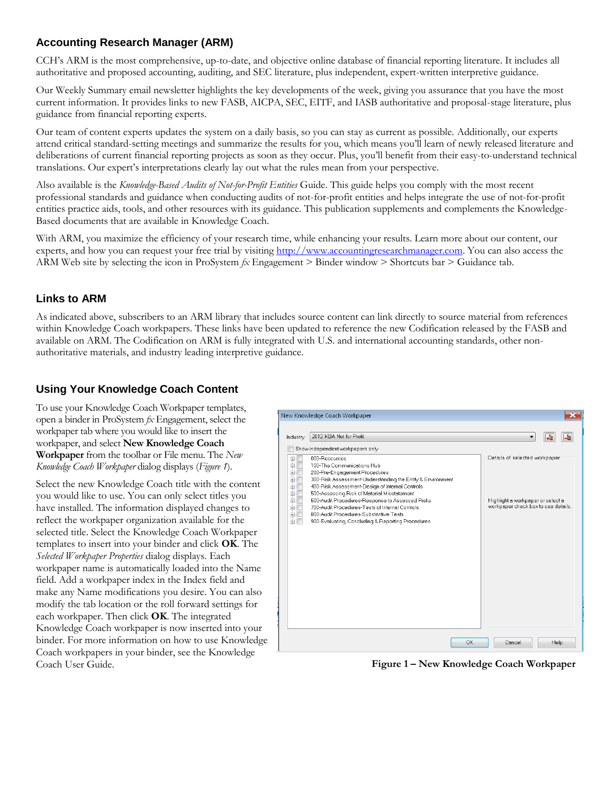## **Accounting Research Manager (ARM)**

CCH's ARM is the most comprehensive, up-to-date, and objective online database of financial reporting literature. It includes all authoritative and proposed accounting, auditing, and SEC literature, plus independent, expert-written interpretive guidance.

Our Weekly Summary email newsletter highlights the key developments of the week, giving you assurance that you have the most current information. It provides links to new FASB, AICPA, SEC, EITF, and IASB authoritative and proposal-stage literature, plus guidance from financial reporting experts.

Our team of content experts updates the system on a daily basis, so you can stay as current as possible. Additionally, our experts attend critical standard-setting meetings and summarize the results for you, which means you'll learn of newly released literature and deliberations of current financial reporting projects as soon as they occur. Plus, you'll benefit from their easy-to-understand technical translations. Our expert's interpretations clearly lay out what the rules mean from your perspective.

Also available is the *Knowledge-Based Audits of Not-for-Profit Entities* Guide. This guide helps you comply with the most recent professional standards and guidance when conducting audits of not-for-profit entities and helps integrate the use of not-for-profit entities practice aids, tools, and other resources with its guidance. This publication supplements and complements the Knowledge-Based documents that are available in Knowledge Coach.

With ARM, you maximize the efficiency of your research time, while enhancing your results. Learn more about our content, our experts, and how you can request your free trial by visiting [http://www.accountingresearchmanager.com.](http://www.accountingresearchmanager.com/) You can also access the ARM Web site by selecting the icon in ProSystem *fx* Engagement > Binder window > Shortcuts bar > Guidance tab.

### **Links to ARM**

As indicated above, subscribers to an ARM library that includes source content can link directly to source material from references within Knowledge Coach workpapers. These links have been updated to reference the new Codification released by the FASB and available on ARM. The Codification on ARM is fully integrated with U.S. and international accounting standards, other nonauthoritative materials, and industry leading interpretive guidance.

### **Using Your Knowledge Coach Content**

To use your Knowledge Coach Workpaper templates, open a binder in ProSystem *fx* Engagement, select the workpaper tab where you would like to insert the workpaper, and select **New Knowledge Coach Workpaper** from the toolbar or File menu. The *New Knowledge Coach Workpaper* dialog displays (*Figure 1*).

Select the new Knowledge Coach title with the content you would like to use. You can only select titles you have installed. The information displayed changes to reflect the workpaper organization available for the selected title. Select the Knowledge Coach Workpaper templates to insert into your binder and click **OK**. The *Selected Workpaper Properties* dialog displays. Each workpaper name is automatically loaded into the Name field. Add a workpaper index in the Index field and make any Name modifications you desire. You can also modify the tab location or the roll forward settings for each workpaper. Then click **OK**. The integrated Knowledge Coach workpaper is now inserted into your binder. For more information on how to use Knowledge Coach workpapers in your binder, see the Knowledge Coach User Guide.



**Figure 1 – New Knowledge Coach Workpaper**